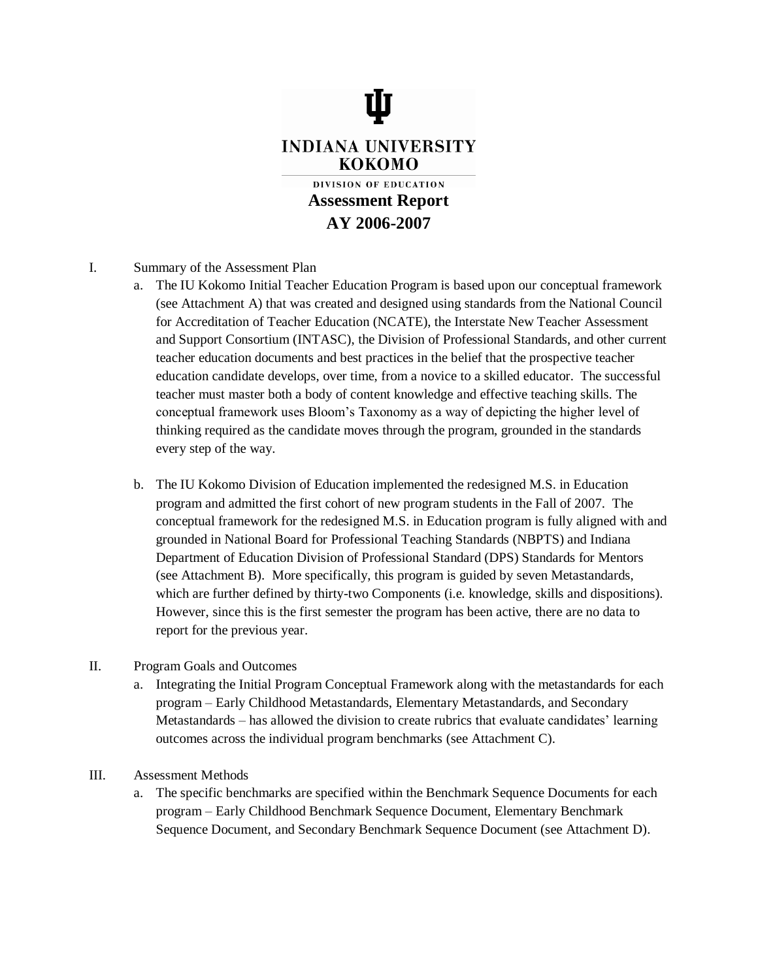

- I. Summary of the Assessment Plan
	- a. The IU Kokomo Initial Teacher Education Program is based upon our conceptual framework (see Attachment A) that was created and designed using standards from the National Council for Accreditation of Teacher Education (NCATE), the Interstate New Teacher Assessment and Support Consortium (INTASC), the Division of Professional Standards, and other current teacher education documents and best practices in the belief that the prospective teacher education candidate develops, over time, from a novice to a skilled educator. The successful teacher must master both a body of content knowledge and effective teaching skills. The conceptual framework uses Bloom's Taxonomy as a way of depicting the higher level of thinking required as the candidate moves through the program, grounded in the standards every step of the way.
	- b. The IU Kokomo Division of Education implemented the redesigned M.S. in Education program and admitted the first cohort of new program students in the Fall of 2007. The conceptual framework for the redesigned M.S. in Education program is fully aligned with and grounded in National Board for Professional Teaching Standards (NBPTS) and Indiana Department of Education Division of Professional Standard (DPS) Standards for Mentors (see Attachment B). More specifically, this program is guided by seven Metastandards, which are further defined by thirty-two Components (*i.e.* knowledge, skills and dispositions). However, since this is the first semester the program has been active, there are no data to report for the previous year.
- II. Program Goals and Outcomes
	- a. Integrating the Initial Program Conceptual Framework along with the metastandards for each program – Early Childhood Metastandards, Elementary Metastandards, and Secondary Metastandards – has allowed the division to create rubrics that evaluate candidates' learning outcomes across the individual program benchmarks (see Attachment C).
- III. Assessment Methods
	- a. The specific benchmarks are specified within the Benchmark Sequence Documents for each program – Early Childhood Benchmark Sequence Document, Elementary Benchmark Sequence Document, and Secondary Benchmark Sequence Document (see Attachment D).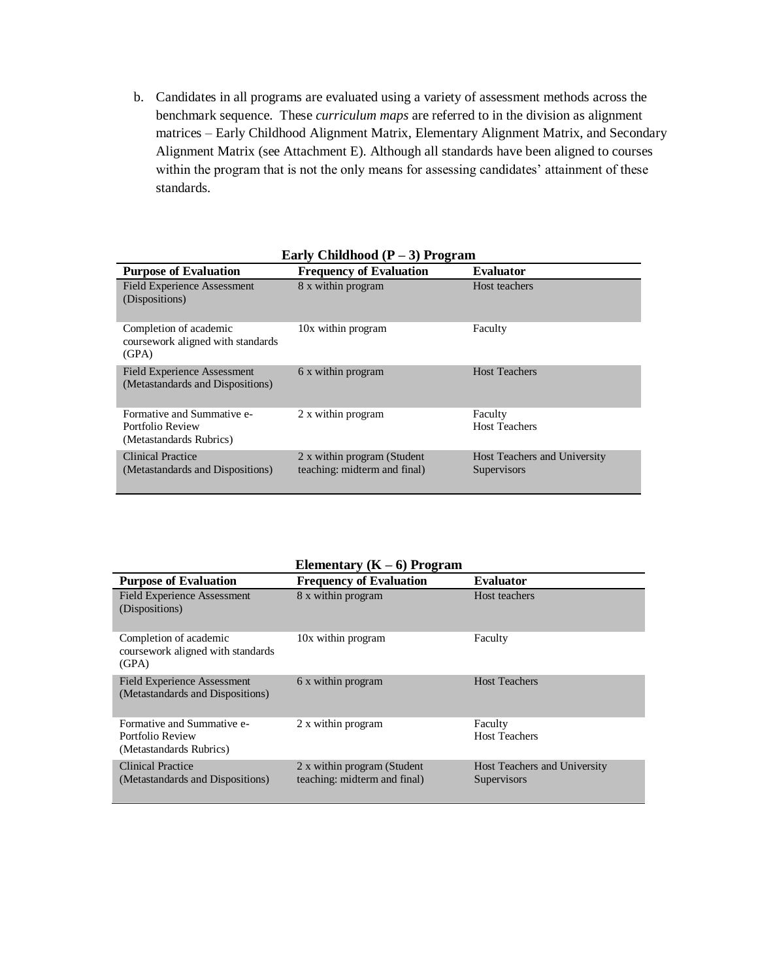b. Candidates in all programs are evaluated using a variety of assessment methods across the benchmark sequence. These *curriculum maps* are referred to in the division as alignment matrices – Early Childhood Alignment Matrix, Elementary Alignment Matrix, and Secondary Alignment Matrix (see Attachment E). Although all standards have been aligned to courses within the program that is not the only means for assessing candidates' attainment of these standards.

| Early Uniquou $(r - 3)$ Frogram                                           |                                                             |                                             |  |
|---------------------------------------------------------------------------|-------------------------------------------------------------|---------------------------------------------|--|
| <b>Purpose of Evaluation</b>                                              | <b>Frequency of Evaluation</b>                              | <b>Evaluator</b>                            |  |
| <b>Field Experience Assessment</b><br>(Dispositions)                      | 8 x within program                                          | Host teachers                               |  |
| Completion of academic<br>coursework aligned with standards<br>(GPA)      | 10x within program                                          | Faculty                                     |  |
| <b>Field Experience Assessment</b><br>(Metastandards and Dispositions)    | 6 x within program                                          | <b>Host Teachers</b>                        |  |
| Formative and Summative e-<br>Portfolio Review<br>(Metastandards Rubrics) | 2 x within program                                          | Faculty<br><b>Host Teachers</b>             |  |
| <b>Clinical Practice</b><br>(Metastandards and Dispositions)              | 2 x within program (Student<br>teaching: midterm and final) | Host Teachers and University<br>Supervisors |  |

|  | Early Childhood $(P-3)$ Program |  |  |
|--|---------------------------------|--|--|
|--|---------------------------------|--|--|

|                                                                           | Elementary $(K-6)$ Program                                  |                                             |
|---------------------------------------------------------------------------|-------------------------------------------------------------|---------------------------------------------|
| <b>Purpose of Evaluation</b>                                              | <b>Frequency of Evaluation</b>                              | <b>Evaluator</b>                            |
| <b>Field Experience Assessment</b><br>(Dispositions)                      | 8 x within program                                          | Host teachers                               |
| Completion of academic<br>coursework aligned with standards<br>(GPA)      | 10x within program                                          | Faculty                                     |
| <b>Field Experience Assessment</b><br>(Metastandards and Dispositions)    | 6 x within program                                          | <b>Host Teachers</b>                        |
| Formative and Summative e-<br>Portfolio Review<br>(Metastandards Rubrics) | 2 x within program                                          | Faculty<br><b>Host Teachers</b>             |
| Clinical Practice<br>(Metastandards and Dispositions)                     | 2 x within program (Student<br>teaching: midterm and final) | Host Teachers and University<br>Supervisors |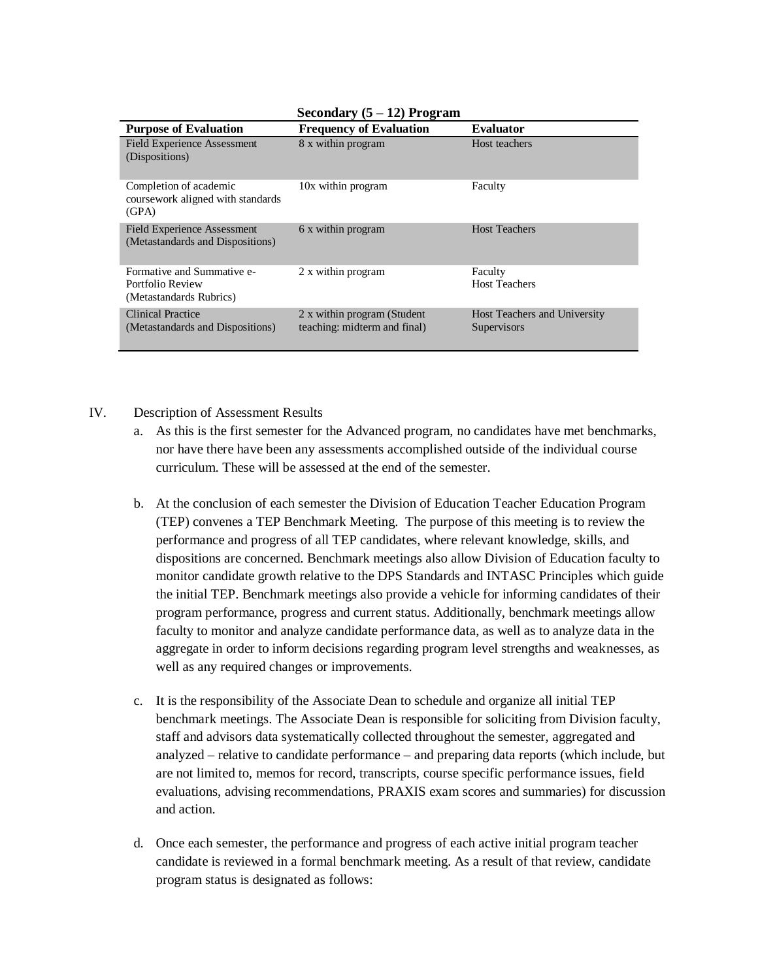| <b>Purpose of Evaluation</b>                                              | <b>Frequency of Evaluation</b>                              | <b>Evaluator</b>                            |
|---------------------------------------------------------------------------|-------------------------------------------------------------|---------------------------------------------|
| <b>Field Experience Assessment</b><br>(Dispositions)                      | 8 x within program                                          | Host teachers                               |
| Completion of academic<br>coursework aligned with standards<br>(GPA)      | 10x within program                                          | Faculty                                     |
| Field Experience Assessment<br>(Metastandards and Dispositions)           | 6 x within program                                          | <b>Host Teachers</b>                        |
| Formative and Summative e-<br>Portfolio Review<br>(Metastandards Rubrics) | 2 x within program                                          | Faculty<br><b>Host Teachers</b>             |
| <b>Clinical Practice</b><br>(Metastandards and Dispositions)              | 2 x within program (Student<br>teaching: midterm and final) | Host Teachers and University<br>Supervisors |

**Secondary (5 – 12) Program**

## IV. Description of Assessment Results

- a. As this is the first semester for the Advanced program, no candidates have met benchmarks, nor have there have been any assessments accomplished outside of the individual course curriculum. These will be assessed at the end of the semester.
- b. At the conclusion of each semester the Division of Education Teacher Education Program (TEP) convenes a TEP Benchmark Meeting. The purpose of this meeting is to review the performance and progress of all TEP candidates, where relevant knowledge, skills, and dispositions are concerned. Benchmark meetings also allow Division of Education faculty to monitor candidate growth relative to the DPS Standards and INTASC Principles which guide the initial TEP. Benchmark meetings also provide a vehicle for informing candidates of their program performance, progress and current status. Additionally, benchmark meetings allow faculty to monitor and analyze candidate performance data, as well as to analyze data in the aggregate in order to inform decisions regarding program level strengths and weaknesses, as well as any required changes or improvements.
- c. It is the responsibility of the Associate Dean to schedule and organize all initial TEP benchmark meetings. The Associate Dean is responsible for soliciting from Division faculty, staff and advisors data systematically collected throughout the semester, aggregated and analyzed – relative to candidate performance – and preparing data reports (which include, but are not limited to, memos for record, transcripts, course specific performance issues, field evaluations, advising recommendations, PRAXIS exam scores and summaries) for discussion and action.
- d. Once each semester, the performance and progress of each active initial program teacher candidate is reviewed in a formal benchmark meeting. As a result of that review, candidate program status is designated as follows: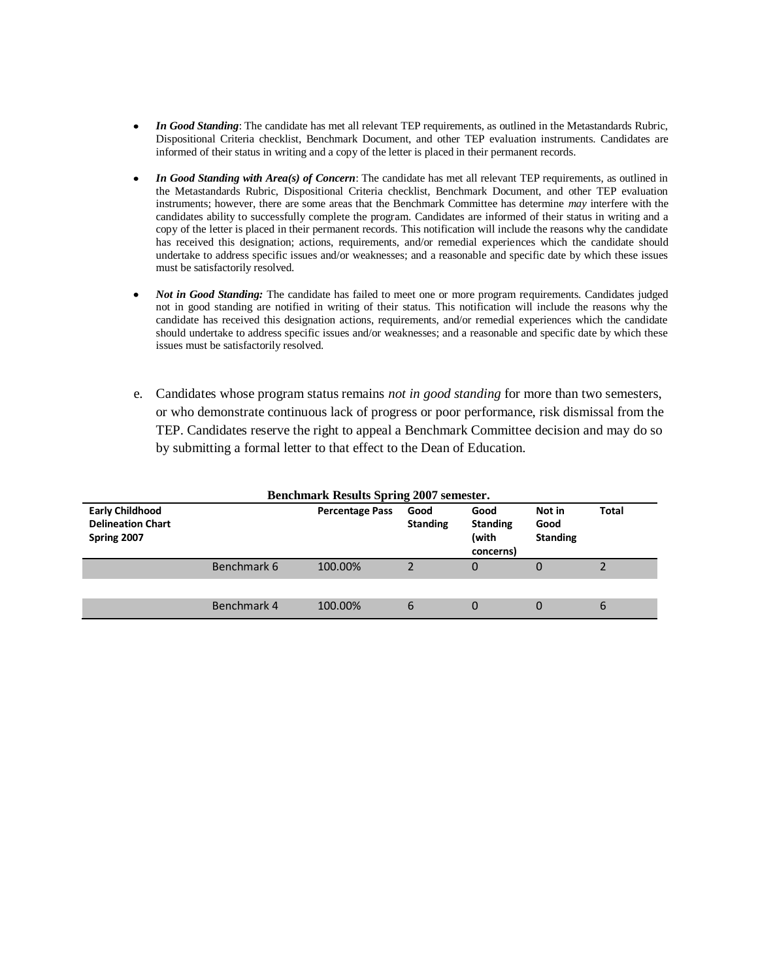- *In Good Standing*: The candidate has met all relevant TEP requirements, as outlined in the Metastandards Rubric,  $\bullet$ Dispositional Criteria checklist, Benchmark Document, and other TEP evaluation instruments. Candidates are informed of their status in writing and a copy of the letter is placed in their permanent records.
- *In Good Standing with Area(s) of Concern*: The candidate has met all relevant TEP requirements, as outlined in the Metastandards Rubric, Dispositional Criteria checklist, Benchmark Document, and other TEP evaluation instruments; however, there are some areas that the Benchmark Committee has determine *may* interfere with the candidates ability to successfully complete the program. Candidates are informed of their status in writing and a copy of the letter is placed in their permanent records. This notification will include the reasons why the candidate has received this designation; actions, requirements, and/or remedial experiences which the candidate should undertake to address specific issues and/or weaknesses; and a reasonable and specific date by which these issues must be satisfactorily resolved.
- *Not in Good Standing:* The candidate has failed to meet one or more program requirements. Candidates judged not in good standing are notified in writing of their status. This notification will include the reasons why the candidate has received this designation actions, requirements, and/or remedial experiences which the candidate should undertake to address specific issues and/or weaknesses; and a reasonable and specific date by which these issues must be satisfactorily resolved.
- e. Candidates whose program status remains *not in good standing* for more than two semesters, or who demonstrate continuous lack of progress or poor performance, risk dismissal from the TEP. Candidates reserve the right to appeal a Benchmark Committee decision and may do so by submitting a formal letter to that effect to the Dean of Education.

| <b>Benchmark Results Spring 2007 semester.</b>                    |             |                        |                         |                                               |                                   |       |
|-------------------------------------------------------------------|-------------|------------------------|-------------------------|-----------------------------------------------|-----------------------------------|-------|
| <b>Early Childhood</b><br><b>Delineation Chart</b><br>Spring 2007 |             | <b>Percentage Pass</b> | Good<br><b>Standing</b> | Good<br><b>Standing</b><br>(with<br>concerns) | Not in<br>Good<br><b>Standing</b> | Total |
|                                                                   | Benchmark 6 | 100.00%                |                         | 0                                             | 0                                 |       |
|                                                                   |             |                        |                         |                                               |                                   |       |
|                                                                   | Benchmark 4 | 100.00%                | 6                       | 0                                             | 0                                 | 6     |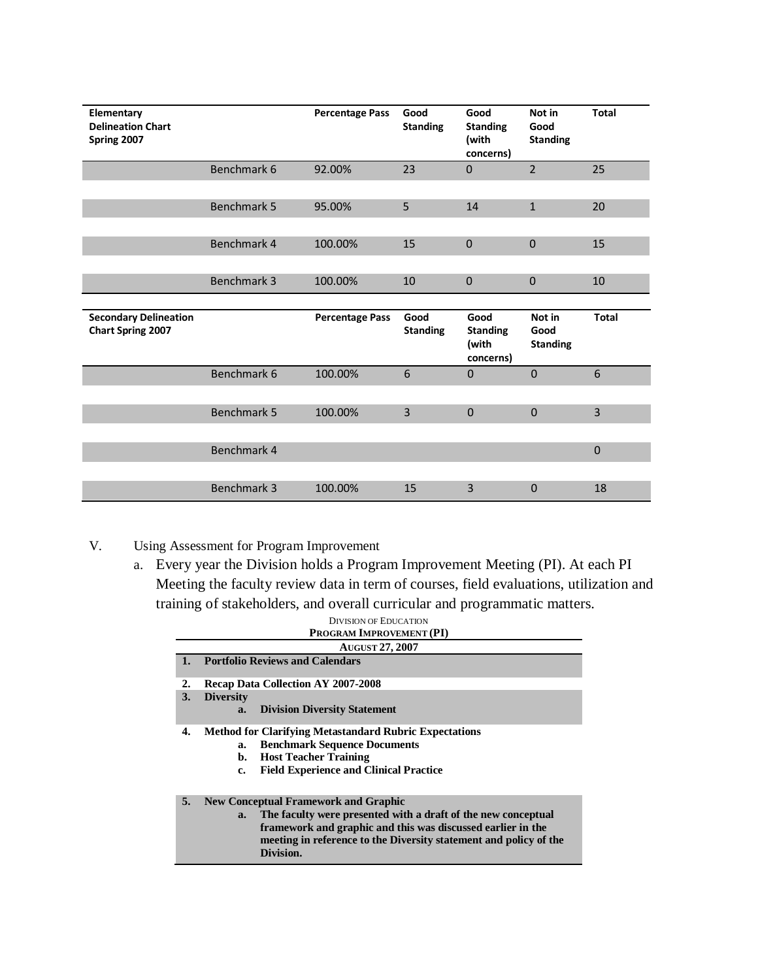| Elementary<br><b>Delineation Chart</b><br>Spring 2007    |             | <b>Percentage Pass</b> | Good<br><b>Standing</b> | Good<br><b>Standing</b><br>(with<br>concerns) | Not in<br>Good<br><b>Standing</b> | <b>Total</b> |
|----------------------------------------------------------|-------------|------------------------|-------------------------|-----------------------------------------------|-----------------------------------|--------------|
|                                                          | Benchmark 6 | 92.00%                 | 23                      | $\mathbf{0}$                                  | $\overline{2}$                    | 25           |
|                                                          | Benchmark 5 | 95.00%                 | 5                       | 14                                            | $\mathbf{1}$                      | 20           |
|                                                          | Benchmark 4 | 100.00%                | 15                      | $\Omega$                                      | $\Omega$                          | 15           |
|                                                          | Benchmark 3 | 100.00%                | 10                      | $\mathbf{0}$                                  | $\mathbf{0}$                      | 10           |
|                                                          |             |                        |                         |                                               |                                   |              |
| <b>Secondary Delineation</b><br><b>Chart Spring 2007</b> |             | <b>Percentage Pass</b> | Good<br><b>Standing</b> | Good<br><b>Standing</b><br>(with<br>concerns) | Not in<br>Good<br><b>Standing</b> | <b>Total</b> |
|                                                          | Benchmark 6 | 100.00%                | 6                       | $\mathbf{0}$                                  | $\mathbf{0}$                      | 6            |
|                                                          | Benchmark 5 | 100.00%                | 3                       | $\mathbf 0$                                   | $\mathbf 0$                       | 3            |
|                                                          | Benchmark 4 |                        |                         |                                               |                                   | $\mathbf 0$  |

- V. Using Assessment for Program Improvement
	- a. Every year the Division holds a Program Improvement Meeting (PI). At each PI Meeting the faculty review data in term of courses, field evaluations, utilization and training of stakeholders, and overall curricular and programmatic matters.

|    | <b>DIVISION OF EDUCATION</b>                                        |
|----|---------------------------------------------------------------------|
|    | PROGRAM IMPROVEMENT (PI)                                            |
|    | <b>AUGUST 27, 2007</b>                                              |
|    | <b>Portfolio Reviews and Calendars</b>                              |
| 2. | <b>Recap Data Collection AY 2007-2008</b>                           |
| 3. | <b>Diversity</b>                                                    |
|    | <b>Division Diversity Statement</b><br>a.                           |
| 4. | <b>Method for Clarifying Metastandard Rubric Expectations</b>       |
|    | <b>Benchmark Sequence Documents</b><br>a.                           |
|    | <b>Host Teacher Training</b><br>b.                                  |
|    | <b>Field Experience and Clinical Practice</b><br>c.                 |
|    |                                                                     |
| 5. | <b>New Conceptual Framework and Graphic</b>                         |
|    | The faculty were presented with a draft of the new conceptual<br>a. |
|    | framework and graphic and this was discussed earlier in the         |
|    | meeting in reference to the Diversity statement and policy of the   |
|    | Division.                                                           |